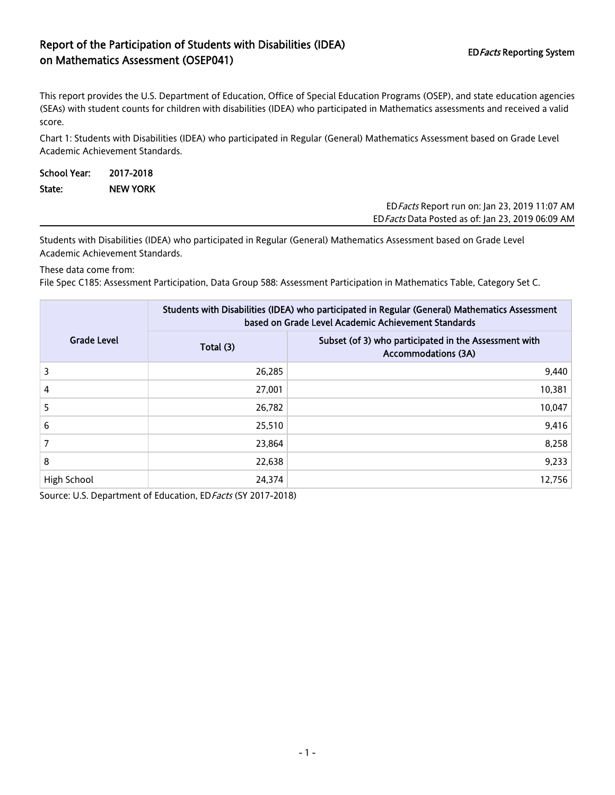## Report of the Participation of Students with Disabilities (IDEA) on Mathematics Assessment (OSEP041)<br>The Mathematics Assessment (OSEP041)

EDFacts Data Posted as of: Jan 23, 2019 06:09 AM

This report provides the U.S. Department of Education, Office of Special Education Programs (OSEP), and state education agencies (SEAs) with student counts for children with disabilities (IDEA) who participated in Mathematics assessments and received a valid score.

Chart 1: Students with Disabilities (IDEA) who participated in Regular (General) Mathematics Assessment based on Grade Level Academic Achievement Standards.

| School Year: | 2017-2018       |  |                                                      |
|--------------|-----------------|--|------------------------------------------------------|
| State:       | <b>NEW YORK</b> |  |                                                      |
|              |                 |  | ED <i>Facts</i> Report run on: Jan 23, 2019 11:07 AM |

Students with Disabilities (IDEA) who participated in Regular (General) Mathematics Assessment based on Grade Level Academic Achievement Standards.

These data come from:

File Spec C185: Assessment Participation, Data Group 588: Assessment Participation in Mathematics Table, Category Set C.

|                    | Students with Disabilities (IDEA) who participated in Regular (General) Mathematics Assessment<br>based on Grade Level Academic Achievement Standards |                                                                                     |  |  |
|--------------------|-------------------------------------------------------------------------------------------------------------------------------------------------------|-------------------------------------------------------------------------------------|--|--|
| <b>Grade Level</b> | Total (3)                                                                                                                                             | Subset (of 3) who participated in the Assessment with<br><b>Accommodations (3A)</b> |  |  |
| 3                  | 26,285                                                                                                                                                | 9,440                                                                               |  |  |
| 4                  | 27,001                                                                                                                                                | 10,381                                                                              |  |  |
| 5                  | 26,782                                                                                                                                                | 10,047                                                                              |  |  |
| 6                  | 25,510                                                                                                                                                | 9,416                                                                               |  |  |
|                    | 23,864                                                                                                                                                | 8,258                                                                               |  |  |
| 8                  | 22,638                                                                                                                                                | 9,233                                                                               |  |  |
| High School        | 24,374                                                                                                                                                | 12,756                                                                              |  |  |

Source: U.S. Department of Education, ED Facts (SY 2017-2018)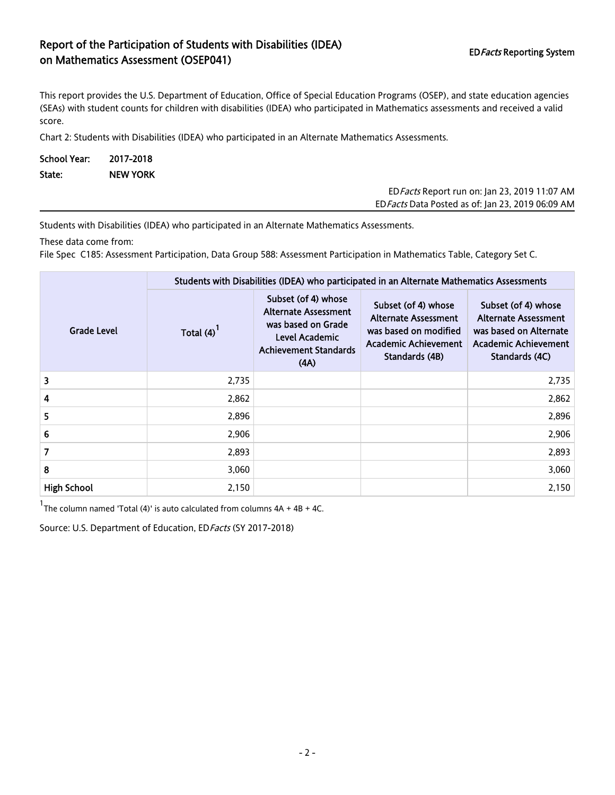## Report of the Participation of Students with Disabilities (IDEA) Report of the Farticipation of Staticitis with Bisabilities (IBE/V) FORE EDFacts Reporting System<br>The Mathematics Assessment (OSEP041)

This report provides the U.S. Department of Education, Office of Special Education Programs (OSEP), and state education agencies (SEAs) with student counts for children with disabilities (IDEA) who participated in Mathematics assessments and received a valid score.

Chart 2: Students with Disabilities (IDEA) who participated in an Alternate Mathematics Assessments.

| School Year: 2017-2018 |                 |  |  |
|------------------------|-----------------|--|--|
| State:                 | <b>NEW YORK</b> |  |  |

| ED <i>Facts</i> Report run on: Jan 23, 2019 11:07 AM |  |
|------------------------------------------------------|--|
| ED Facts Data Posted as of: Jan 23, 2019 06:09 AM    |  |

Students with Disabilities (IDEA) who participated in an Alternate Mathematics Assessments.

These data come from:

File Spec C185: Assessment Participation, Data Group 588: Assessment Participation in Mathematics Table, Category Set C.

|                    | Students with Disabilities (IDEA) who participated in an Alternate Mathematics Assessments |                                                                                                                                    |                                                                                                                       |                                                                                                                        |  |  |
|--------------------|--------------------------------------------------------------------------------------------|------------------------------------------------------------------------------------------------------------------------------------|-----------------------------------------------------------------------------------------------------------------------|------------------------------------------------------------------------------------------------------------------------|--|--|
| <b>Grade Level</b> | Total $(4)^{1}$                                                                            | Subset (of 4) whose<br><b>Alternate Assessment</b><br>was based on Grade<br>Level Academic<br><b>Achievement Standards</b><br>(AA) | Subset (of 4) whose<br><b>Alternate Assessment</b><br>was based on modified<br>Academic Achievement<br>Standards (4B) | Subset (of 4) whose<br><b>Alternate Assessment</b><br>was based on Alternate<br>Academic Achievement<br>Standards (4C) |  |  |
| 3                  | 2,735                                                                                      |                                                                                                                                    |                                                                                                                       | 2,735                                                                                                                  |  |  |
| 4                  | 2,862                                                                                      |                                                                                                                                    |                                                                                                                       | 2,862                                                                                                                  |  |  |
| 5                  | 2,896                                                                                      |                                                                                                                                    |                                                                                                                       | 2,896                                                                                                                  |  |  |
| 6                  | 2,906                                                                                      |                                                                                                                                    |                                                                                                                       | 2,906                                                                                                                  |  |  |
| 7                  | 2,893                                                                                      |                                                                                                                                    |                                                                                                                       | 2,893                                                                                                                  |  |  |
| 8                  | 3,060                                                                                      |                                                                                                                                    |                                                                                                                       | 3,060                                                                                                                  |  |  |
| <b>High School</b> | 2,150                                                                                      |                                                                                                                                    |                                                                                                                       | 2,150                                                                                                                  |  |  |

<sup>1</sup>The column named 'Total (4)' is auto calculated from columns  $4A + 4B + 4C$ .

Source: U.S. Department of Education, ED Facts (SY 2017-2018)